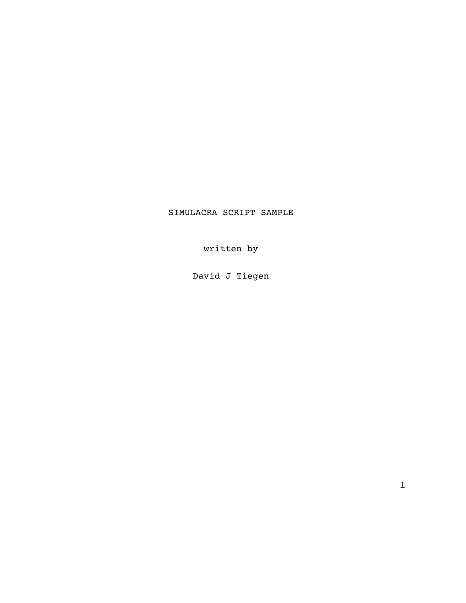# SIMULACRA SCRIPT SAMPLE

written by

David J Tiegen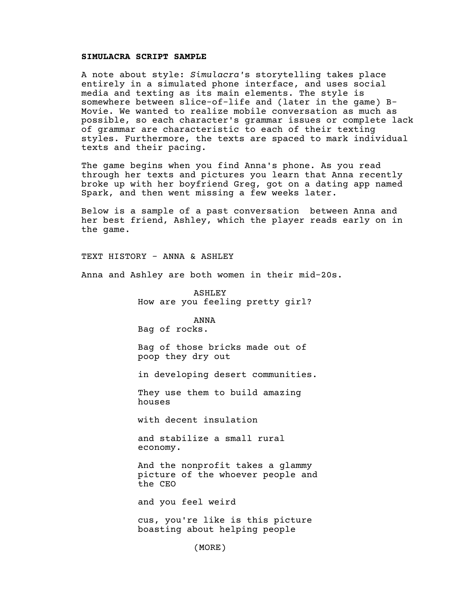### **SIMULACRA SCRIPT SAMPLE**

A note about style: *Simulacra'*s storytelling takes place entirely in a simulated phone interface, and uses social media and texting as its main elements. The style is somewhere between slice-of-life and (later in the game) B-Movie. We wanted to realize mobile conversation as much as possible, so each character's grammar issues or complete lack of grammar are characteristic to each of their texting styles. Furthermore, the texts are spaced to mark individual texts and their pacing.

The game begins when you find Anna's phone. As you read through her texts and pictures you learn that Anna recently broke up with her boyfriend Greg, got on a dating app named Spark, and then went missing a few weeks later.

Below is a sample of a past conversation between Anna and her best friend, Ashley, which the player reads early on in the game.

TEXT HISTORY - ANNA & ASHLEY

Anna and Ashley are both women in their mid-20s.

ASHLEY How are you feeling pretty girl?

ANNA Bag of rocks.

Bag of those bricks made out of poop they dry out

in developing desert communities.

They use them to build amazing houses

with decent insulation

and stabilize a small rural economy.

And the nonprofit takes a glammy picture of the whoever people and the CEO

and you feel weird

cus, you're like is this picture boasting about helping people

(MORE)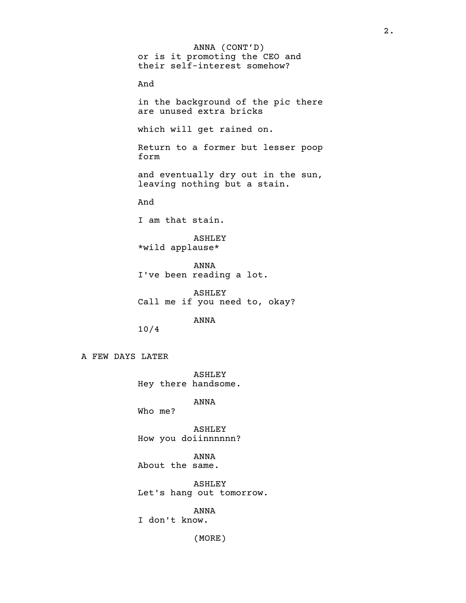ANNA (CONT'D) or is it promoting the CEO and their self-interest somehow? And in the background of the pic there are unused extra bricks which will get rained on. Return to a former but lesser poop form and eventually dry out in the sun, leaving nothing but a stain. And I am that stain. ASHLEY \*wild applause\* ANNA I've been reading a lot. ASHLEY Call me if you need to, okay? ANNA 10/4 A FEW DAYS LATER

> ASHLEY Hey there handsome.

> > ANNA

Who me?

ASHLEY How you doiinnnnnn?

ANNA About the same.

ASHLEY Let's hang out tomorrow.

ANNA I don't know.

(MORE)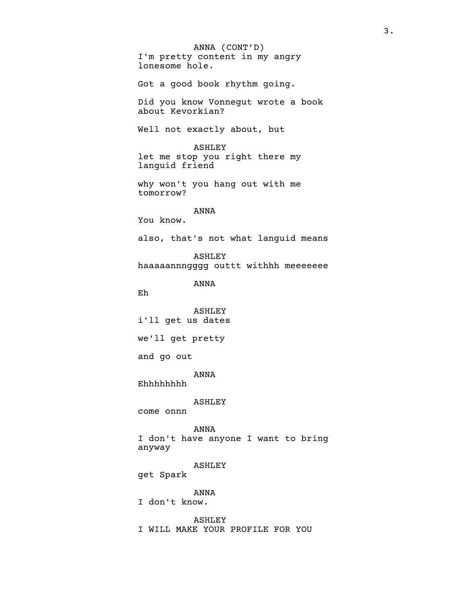ANNA (CONT'D) I'm pretty content in my angry lonesome hole. Got a good book rhythm going. Did you know Vonnegut wrote a book about Kevorkian? Well not exactly about, but ASHLEY let me stop you right there my languid friend why won't you hang out with me tomorrow? ANNA You know. also, that's not what languid means ASHLEY haaaaannngggg outtt withhh meeeeeee ANNA Eh ASHLEY i'll get us dates we'll get pretty and go out ANNA Ehhhhhhhh ASHLEY come onnn ANNA I don't have anyone I want to bring anyway ASHLEY get Spark ANNA I don't know. ASHLEY I WILL MAKE YOUR PROFILE FOR YOU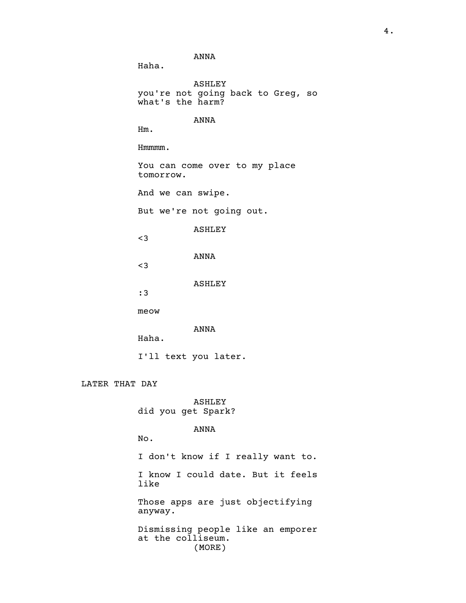ANNA

Haha.

ASHLEY you're not going back to Greg, so what's the harm?

ANNA

Hm.

Hmmmm.

You can come over to my place tomorrow.

And we can swipe.

But we're not going out.

ASHLEY

<3

ANNA

<3

ASHLEY

:3

meow

ANNA

Haha.

I'll text you later.

LATER THAT DAY

ASHLEY did you get Spark?

ANNA

No.

I don't know if I really want to. I know I could date. But it feels like

Those apps are just objectifying anyway.

Dismissing people like an emporer at the colliseum. (MORE)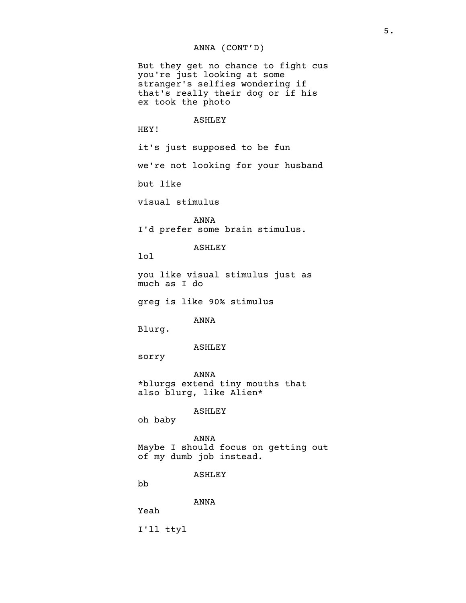# ANNA (CONT'D)

But they get no chance to fight cus you're just looking at some stranger's selfies wondering if that's really their dog or if his ex took the photo

#### ASHLEY

HEY!

it's just supposed to be fun

we're not looking for your husband

but like

visual stimulus

ANNA I'd prefer some brain stimulus.

## ASHLEY

lol

you like visual stimulus just as much as I do

greg is like 90% stimulus

ANNA

Blurg.

#### ASHLEY

sorry

ANNA \*blurgs extend tiny mouths that also blurg, like Alien\*

ASHLEY

oh baby

ANNA Maybe I should focus on getting out of my dumb job instead.

ASHLEY

bb

ANNA

Yeah

I'll ttyl